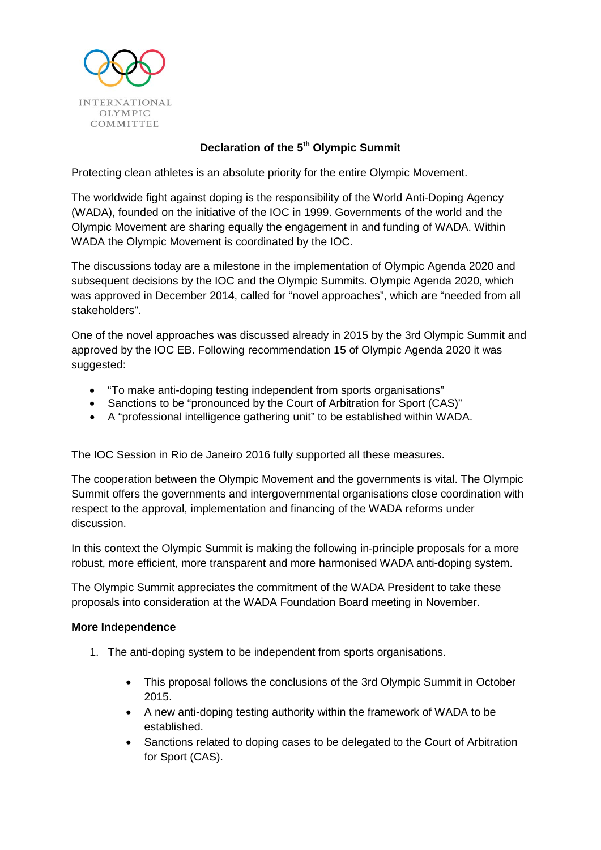

# **Declaration of the 5th Olympic Summit**

Protecting clean athletes is an absolute priority for the entire Olympic Movement.

The worldwide fight against doping is the responsibility of the World Anti-Doping Agency (WADA), founded on the initiative of the IOC in 1999. Governments of the world and the Olympic Movement are sharing equally the engagement in and funding of WADA. Within WADA the Olympic Movement is coordinated by the IOC.

The discussions today are a milestone in the implementation of Olympic Agenda 2020 and subsequent decisions by the IOC and the Olympic Summits. Olympic Agenda 2020, which was approved in December 2014, called for "novel approaches", which are "needed from all stakeholders".

One of the novel approaches was discussed already in 2015 by the 3rd Olympic Summit and approved by the IOC EB. Following recommendation 15 of Olympic Agenda 2020 it was suggested:

- "To make anti-doping testing independent from sports organisations"
- Sanctions to be "pronounced by the Court of Arbitration for Sport (CAS)"
- A "professional intelligence gathering unit" to be established within WADA.

The IOC Session in Rio de Janeiro 2016 fully supported all these measures.

The cooperation between the Olympic Movement and the governments is vital. The Olympic Summit offers the governments and intergovernmental organisations close coordination with respect to the approval, implementation and financing of the WADA reforms under discussion.

In this context the Olympic Summit is making the following in-principle proposals for a more robust, more efficient, more transparent and more harmonised WADA anti-doping system.

The Olympic Summit appreciates the commitment of the WADA President to take these proposals into consideration at the WADA Foundation Board meeting in November.

### **More Independence**

- 1. The anti-doping system to be independent from sports organisations.
	- This proposal follows the conclusions of the 3rd Olympic Summit in October 2015.
	- A new anti-doping testing authority within the framework of WADA to be established.
	- Sanctions related to doping cases to be delegated to the Court of Arbitration for Sport (CAS).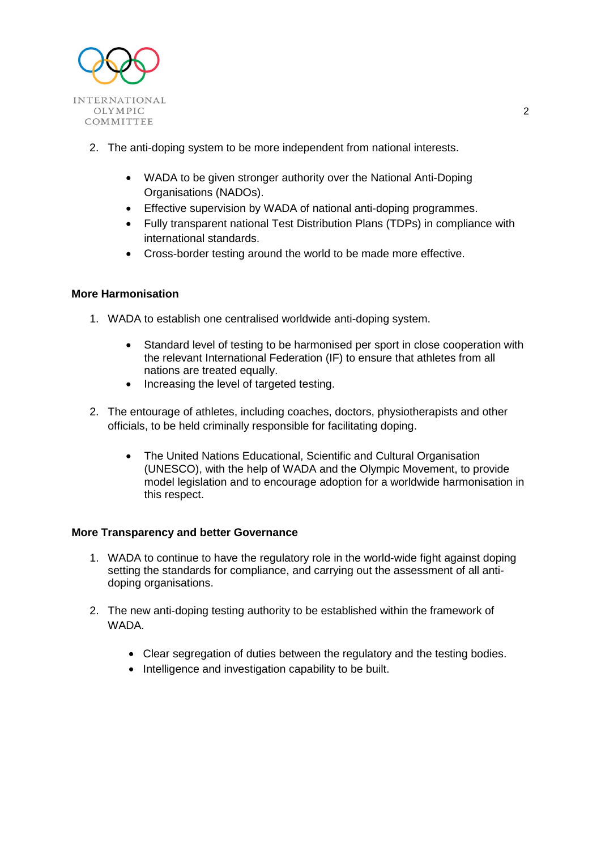

- 2. The anti-doping system to be more independent from national interests.
	- WADA to be given stronger authority over the National Anti-Doping Organisations (NADOs).
	- Effective supervision by WADA of national anti-doping programmes.
	- Fully transparent national Test Distribution Plans (TDPs) in compliance with international standards.
	- Cross-border testing around the world to be made more effective.

### **More Harmonisation**

- 1. WADA to establish one centralised worldwide anti-doping system.
	- Standard level of testing to be harmonised per sport in close cooperation with the relevant International Federation (IF) to ensure that athletes from all nations are treated equally.
	- Increasing the level of targeted testing.
- 2. The entourage of athletes, including coaches, doctors, physiotherapists and other officials, to be held criminally responsible for facilitating doping.
	- The United Nations Educational, Scientific and Cultural Organisation (UNESCO), with the help of WADA and the Olympic Movement, to provide model legislation and to encourage adoption for a worldwide harmonisation in this respect.

### **More Transparency and better Governance**

- 1. WADA to continue to have the regulatory role in the world-wide fight against doping setting the standards for compliance, and carrying out the assessment of all antidoping organisations.
- 2. The new anti-doping testing authority to be established within the framework of WADA.
	- Clear segregation of duties between the regulatory and the testing bodies.
	- Intelligence and investigation capability to be built.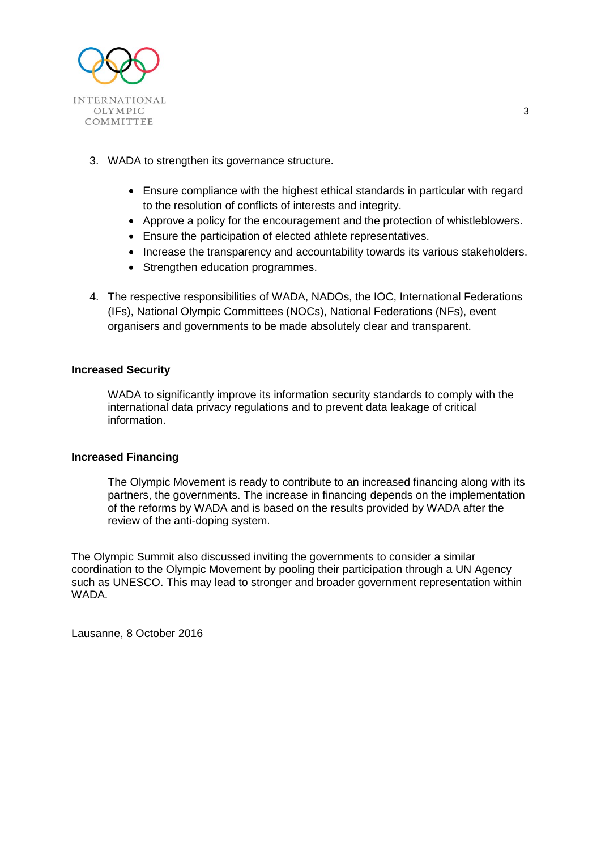

- 3. WADA to strengthen its governance structure.
	- Ensure compliance with the highest ethical standards in particular with regard to the resolution of conflicts of interests and integrity.
	- Approve a policy for the encouragement and the protection of whistleblowers.
	- Ensure the participation of elected athlete representatives.
	- Increase the transparency and accountability towards its various stakeholders.
	- Strengthen education programmes.
- 4. The respective responsibilities of WADA, NADOs, the IOC, International Federations (IFs), National Olympic Committees (NOCs), National Federations (NFs), event organisers and governments to be made absolutely clear and transparent.

### **Increased Security**

WADA to significantly improve its information security standards to comply with the international data privacy regulations and to prevent data leakage of critical information.

#### **Increased Financing**

The Olympic Movement is ready to contribute to an increased financing along with its partners, the governments. The increase in financing depends on the implementation of the reforms by WADA and is based on the results provided by WADA after the review of the anti-doping system.

The Olympic Summit also discussed inviting the governments to consider a similar coordination to the Olympic Movement by pooling their participation through a UN Agency such as UNESCO. This may lead to stronger and broader government representation within WADA.

Lausanne, 8 October 2016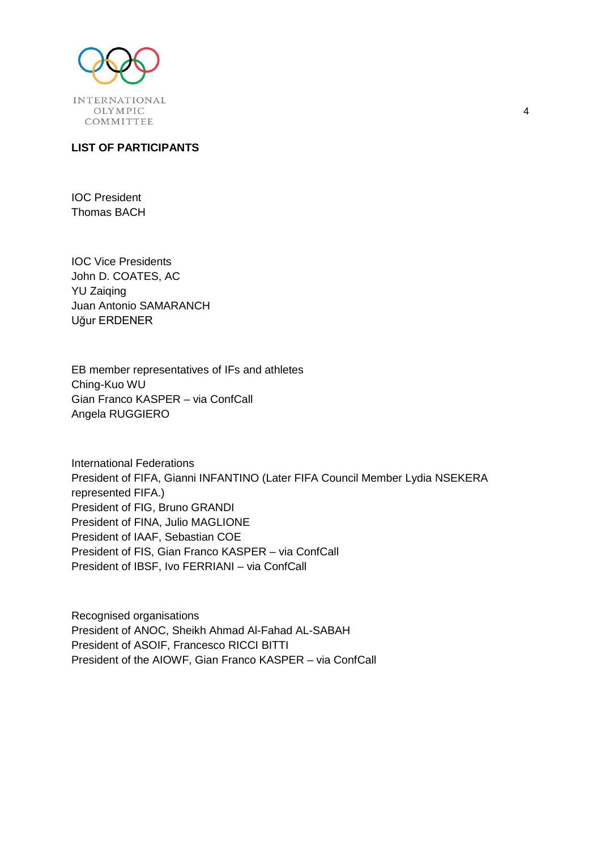

## **LIST OF PARTICIPANTS**

IOC President Thomas BACH

IOC Vice Presidents John D. COATES, AC YU Zaiqing Juan Antonio SAMARANCH Uğur ERDENER

EB member representatives of IFs and athletes Ching-Kuo WU Gian Franco KASPER – via ConfCall Angela RUGGIERO

International Federations President of FIFA, Gianni INFANTINO (Later FIFA Council Member Lydia NSEKERA represented FIFA.) President of FIG, Bruno GRANDI President of FINA, Julio MAGLIONE President of IAAF, Sebastian COE President of FIS, Gian Franco KASPER – via ConfCall President of IBSF, Ivo FERRIANI – via ConfCall

Recognised organisations President of ANOC, Sheikh Ahmad Al-Fahad AL-SABAH President of ASOIF, Francesco RICCI BITTI President of the AIOWF, Gian Franco KASPER – via ConfCall